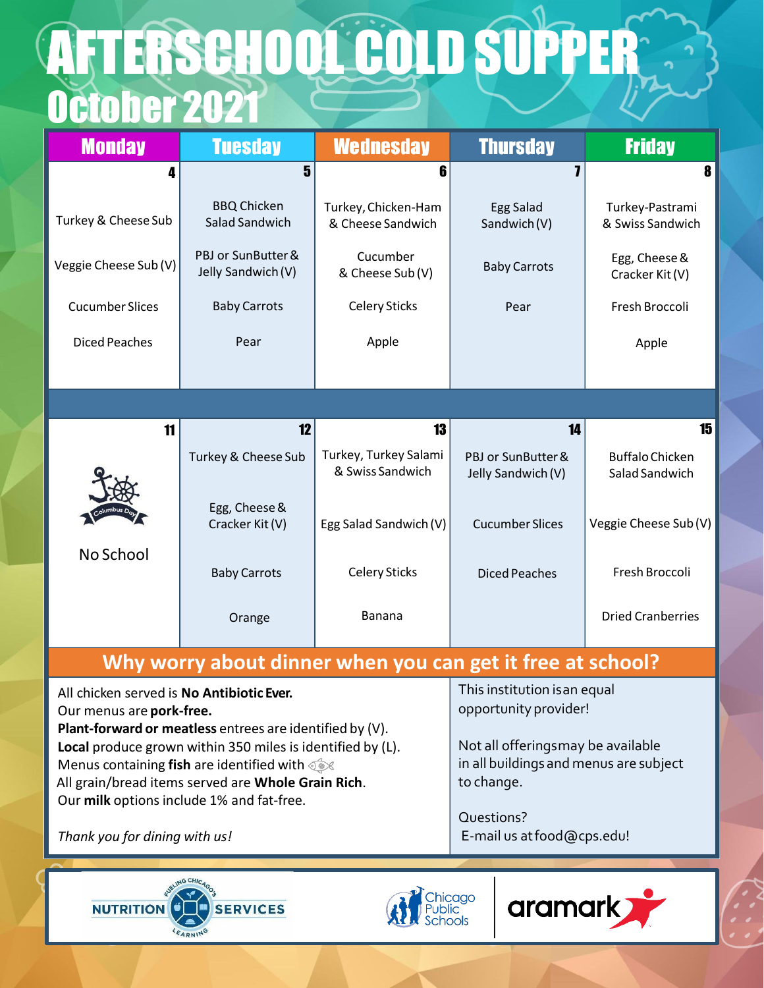## October 2021 **AFTERSCHOOL COLD SUPPER**

| <b>Monday</b>          | <b>Tuesday</b>                           | <b>Wednesday</b>                                           | <b>Thursday</b>                          | <b>Friday</b>                            |
|------------------------|------------------------------------------|------------------------------------------------------------|------------------------------------------|------------------------------------------|
| Δ                      | 5                                        | 6                                                          |                                          | 8                                        |
| Turkey & Cheese Sub    | <b>BBQ Chicken</b><br>Salad Sandwich     | Turkey, Chicken-Ham<br>& Cheese Sandwich                   | <b>Egg Salad</b><br>Sandwich (V)         | Turkey-Pastrami<br>& Swiss Sandwich      |
| Veggie Cheese Sub (V)  | PBJ or SunButter &<br>Jelly Sandwich (V) | Cucumber<br>& Cheese Sub (V)                               | <b>Baby Carrots</b>                      | Egg, Cheese &<br>Cracker Kit (V)         |
| <b>Cucumber Slices</b> | <b>Baby Carrots</b>                      | <b>Celery Sticks</b>                                       | Pear                                     | Fresh Broccoli                           |
| <b>Diced Peaches</b>   | Pear                                     | Apple                                                      |                                          | Apple                                    |
|                        |                                          |                                                            |                                          |                                          |
|                        |                                          |                                                            |                                          |                                          |
| 11                     | 12                                       | 13                                                         | 14                                       | 15                                       |
|                        | <b>Turkey &amp; Cheese Sub</b>           | Turkey, Turkey Salami<br>& Swiss Sandwich                  | PBJ or SunButter &<br>Jelly Sandwich (V) | <b>Buffalo Chicken</b><br>Salad Sandwich |
|                        | Egg, Cheese &<br>Cracker Kit (V)         | Egg Salad Sandwich (V)                                     | <b>Cucumber Slices</b>                   | Veggie Cheese Sub (V)                    |
| No School              | <b>Baby Carrots</b>                      | <b>Celery Sticks</b>                                       | <b>Diced Peaches</b>                     | Fresh Broccoli                           |
|                        | Orange                                   | <b>Banana</b>                                              |                                          | <b>Dried Cranberries</b>                 |
|                        |                                          | Why worry about dinner when you can get it free at school? |                                          |                                          |

Our menus are **pork-free. Plant-forward or meatless** entrees are identified by (V).

*Thank you for dining with us!*

**Local** produce grown within 350 miles is identified by (L).

Menus containing **fish** are identified with All grain/bread items served are **Whole Grain Rich**.

Our **milk** options include 1% and fat-free.

This institution isan equal opportunity provider!

Not all offeringsmay be available in all buildings and menus are subject to change.

Questions? E-mail us atfood@cps.edu!

NUTRITION<sup>O</sup> **SERVICES**